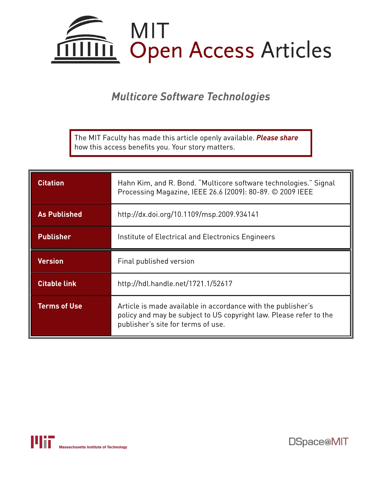

*Multicore Software Technologies*

The MIT Faculty has made this article openly available. *[Please](https://libraries.mit.edu/forms/dspace-oa-articles.html) share* how this access benefits you. Your story matters.

| <b>Citation</b>     | Hahn Kim, and R. Bond. "Multicore software technologies." Signal<br>Processing Magazine, IEEE 26.6 (2009): 80-89. © 2009 IEEE                                            |  |  |  |
|---------------------|--------------------------------------------------------------------------------------------------------------------------------------------------------------------------|--|--|--|
| <b>As Published</b> | http://dx.doi.org/10.1109/msp.2009.934141                                                                                                                                |  |  |  |
| <b>Publisher</b>    | Institute of Electrical and Electronics Engineers                                                                                                                        |  |  |  |
| <b>Version</b>      | Final published version                                                                                                                                                  |  |  |  |
| <b>Citable link</b> | http://hdl.handle.net/1721.1/52617                                                                                                                                       |  |  |  |
| <b>Terms of Use</b> | Article is made available in accordance with the publisher's<br>policy and may be subject to US copyright law. Please refer to the<br>publisher's site for terms of use. |  |  |  |



DSpace@MIT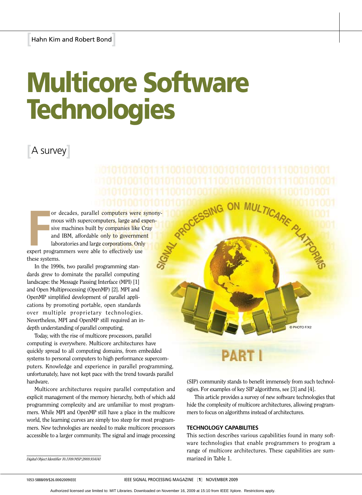# Multicore Software **Technologies**

## **[**A survey**]**

or decades, parallel computers were s<br>
mous with supercomputers, large and e<br>
sive machines built by companies like C<br>
and IBM, affordable only to governme<br>
laboratories and large corporations. Only<br>
expert programmers wer or decades, parallel computers were synonymous with supercomputers, large and expensive machines built by companies like Cray and IBM, affordable only to government laboratories and large corporations. Only these systems.

In the 1990s, two parallel programming standards grew to dominate the parallel computing landscape: the Message Passing Interface (MPI) [1] and Open Multiprocessing (OpenMP) [2]. MPI and OpenMP simplified development of parallel applications by promoting portable, open standards over multiple proprietary technologies. Nevertheless, MPI and OpenMP still required an indepth understanding of parallel computing.

Today, with the rise of multicore processors, parallel computing is everywhere. Multicore architectures have quickly spread to all computing domains, from embedded systems to personal computers to high performance supercomputers. Knowledge and experience in parallel programming, unfortunately, have not kept pace with the trend towards parallel hardware.

Multicore architectures require parallel computation and explicit management of the memory hierarchy, both of which add programming complexity and are unfamiliar to most programmers. While MPI and OpenMP still have a place in the multicore world, the learning curves are simply too steep for most programmers. New technologies are needed to make multicore processors accessible to a larger community. The signal and image processing PART I

(SIP) community stands to benefit immensely from such technologies. For examples of key SIP algorithms, see [3] and [4].

MULTICARE PL

© photo f/x2

This article provides a survey of new software technologies that hide the complexity of multicore architectures, allowing programmers to focus on algorithms instead of architectures.

#### **Technology Capabilities**

**AROCESSING** 

This section describes various capabilities found in many software technologies that enable programmers to program a range of multicore architectures. These capabilities are summarized in Table 1.

*Digital Object Identifier 10.1109/MSP.2009.934141*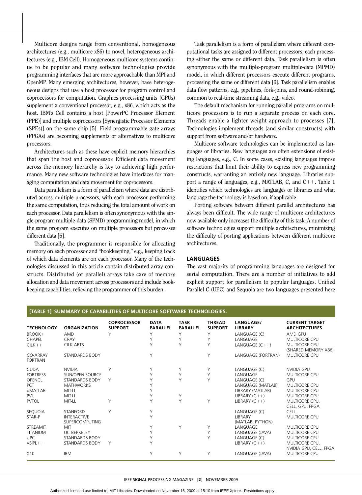Multicore designs range from conventional, homogeneous architectures (e.g., multicore x86) to novel, heterogeneous architectures (e.g., IBM Cell). Homogeneous multicore systems continue to be popular and many software technologies provide programming interfaces that are more approachable than MPI and OpenMP. Many emerging architectures, however, have heterogeneous designs that use a host processor for program control and coprocessors for computation. Graphics processing units (GPUs) supplement a conventional processor, e.g., x86, which acts as the host. IBM's Cell contains a host [PowerPC Processor Element (PPE)] and multiple coprocessors [Synergistic Processor Elements (SPEs)] on the same chip [5]. Field-programmable gate arrays (FPGAs) are becoming supplements or alternatives to multicore processors.

Architectures such as these have explicit memory hierarchies that span the host and coprocessor. Efficient data movement across the memory hierarchy is key to achieving high performance. Many new software technologies have interfaces for managing computation and data movement for coprocessors.

Data parallelism is a form of parallelism where data are distributed across multiple processors, with each processor performing the same computation, thus reducing the total amount of work on each processor. Data parallelism is often synonymous with the single-program multiple-data (SPMD) programming model, in which the same program executes on multiple processors but processes different data [6].

Traditionally, the programmer is responsible for allocating memory on each processor and "bookkeeping," e.g., keeping track of which data elements are on each processor. Many of the technologies discussed in this article contain distributed array constructs. Distributed (or parallel) arrays take care of memory allocation and data movement across processors and include bookkeeping capabilities, relieving the programmer of this burden.

Task parallelism is a form of parallelism where different computational tasks are assigned to different processors, each processing either the same or different data. Task parallelism is often synonymous with the multiple-program multiple-data (MPMD) model, in which different processors execute different programs, processing the same or different data [6]. Task parallelism enables data flow patterns, e.g., pipelines, fork-joins, and round-robining, common to real-time streaming data, e.g., video.

The default mechanism for running parallel programs on multicore processors is to run a separate process on each core. Threads enable a lighter weight approach to processes [7]. Technologies implement threads (and similar constructs) with support from software and/or hardware.

Multicore software technologies can be implemented as languages or libraries. New languages are often extensions of existing languages, e.g., C. In some cases, existing languages impose restrictions that limit their ability to express new programming constructs, warranting an entirely new language. Libraries support a range of languages, e.g., MATLAB, C, and  $C++$ . Table 1 identifies which technologies are languages or libraries and what language the technology is based on, if applicable.

Porting software between different parallel architectures has always been difficult. The wide range of multicore architectures now available only increases the difficulty of this task. A number of software technologies support multiple architectures, minimizing the difficulty of porting applications between different multicore architectures.

#### **Languages**

The vast majority of programming languages are designed for serial computation. There are a number of initiatives to add explicit support for parallelism to popular languages. Unified Parallel C (UPC) and Sequoia are two languages presented here

| [TABLE 1] SUMMARY OF CAPABILITIES OF MULTICORE SOFTWARE TECHNOLOGIES. |                                      |                                      |                                |                                |                                 |                                    |                                               |  |
|-----------------------------------------------------------------------|--------------------------------------|--------------------------------------|--------------------------------|--------------------------------|---------------------------------|------------------------------------|-----------------------------------------------|--|
| <b>TECHNOLOGY</b>                                                     | <b>ORGANIZATION</b>                  | <b>COPROCESSOR</b><br><b>SUPPORT</b> | <b>DATA</b><br><b>PARALLEL</b> | <b>TASK</b><br><b>PARALLEL</b> | <b>THREAD</b><br><b>SUPPORT</b> | LANGUAGE/<br><b>LIBRARY</b>        | <b>CURRENT TARGET</b><br><b>ARCHITECTURES</b> |  |
| BROOK+                                                                | AMD                                  | Υ                                    | Υ                              | Y                              | Y                               | LANGUAGE (C)                       | AMD GPU                                       |  |
| CHAPEL                                                                | CRAY                                 |                                      | Y                              | Y                              | Y                               | LANGUAGE                           | MULTICORE CPU                                 |  |
| $CILK++$                                                              | <b>CILK ARTS</b>                     |                                      | Y                              | Υ                              | Y                               | LANGUAGE $(C++)$                   | MULTICORE CPU<br>(SHARED MEMORY X86)          |  |
| CO-ARRAY<br><b>FORTRAN</b>                                            | STANDARDS BODY                       |                                      | Υ                              |                                | Υ                               | LANGUAGE (FORTRAN)                 | MULTICORE CPU                                 |  |
| <b>CUDA</b>                                                           | <b>NVIDIA</b>                        | Υ                                    | Υ                              | Υ                              | Y                               | LANGUAGE (C)                       | NVIDIA GPU                                    |  |
| <b>FORTRESS</b>                                                       | SUN/OPEN SOURCE                      |                                      | Y                              | Y                              | Y                               | LANGUAGE                           | <b>MULTICORE CPU</b>                          |  |
| OPENCL                                                                | STANDARDS BODY                       | Υ                                    | Y                              | Y                              | Y                               | LANGUAGE (C)                       | GPU                                           |  |
| PCT                                                                   | <b>MATHWORKS</b>                     |                                      | Υ                              |                                |                                 | LANGUAGE (MATLAB)                  | <b>MULTICORE CPU</b>                          |  |
| <b>pMATLAB</b>                                                        | MIT-LL                               |                                      | Y                              |                                |                                 | LIBRARY (MATLAB)                   | MULTICORE CPU                                 |  |
| PVL                                                                   | MIT-LL                               |                                      | Y                              | Υ                              |                                 | LIBRARY $(C++)$                    | MULTICORE CPU                                 |  |
| <b>PVTOL</b>                                                          | MIT-LL                               | Υ                                    | Y                              | Υ                              | Υ                               | LIBRARY $(C++)$                    | MULTICORE CPU.<br>CELL, GPU, FPGA             |  |
| SEQUOIA                                                               | <b>STANFORD</b>                      | Υ                                    | Υ                              |                                |                                 | LANGUAGE (C)                       | <b>CELL</b>                                   |  |
| STAR-P                                                                | <b>INTERACTIVE</b><br>SUPERCOMPUTING |                                      | Y                              |                                |                                 | <b>LIBRARY</b><br>(MATLAB, PYTHON) | MULTICORE CPU                                 |  |
| STREAMIT                                                              | <b>MIT</b>                           |                                      | Y                              | Y                              | Υ                               | LANGUAGE                           | <b>MULTICORE CPU</b>                          |  |
| <b>TITANIUM</b>                                                       | <b>UC BERKELEY</b>                   |                                      | Y                              |                                | Y                               | LANGUAGE (JAVA)                    | MULTICORE CPU                                 |  |
| <b>UPC</b>                                                            | STANDARDS BODY                       |                                      | Y                              |                                | Y                               | LANGUAGE (C)                       | <b>MULTICORE CPU</b>                          |  |
| $VSIPL++$                                                             | STANDARDS BODY                       | Y                                    | Y                              |                                |                                 | LIBRARY $(C++)$                    | MULTICORE CPU,<br>NVIDIA GPU, CELL, FPGA      |  |
| X10                                                                   | <b>IBM</b>                           |                                      | Υ                              | Υ                              | Υ                               | LANGUAGE (JAVA)                    | MULTICORE CPU                                 |  |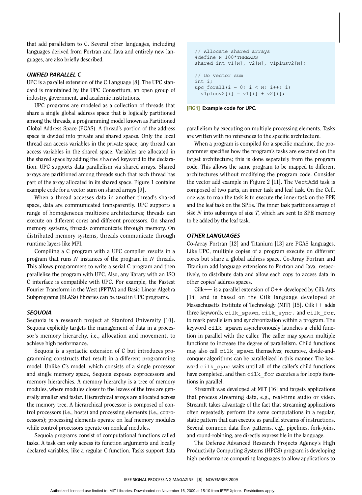that add parallelism to C. Several other languages, including languages derived from Fortran and Java and entirely new languages, are also briefly described.

#### *Unified Parallel C*

UPC is a parallel extension of the C Language [8]. The UPC standard is maintained by the UPC Consortium, an open group of industry, government, and academic institutions.

UPC programs are modeled as a collection of threads that share a single global address space that is logically partitioned among the threads, a programming model known as Partitioned Global Address Space (PGAS). A thread's portion of the address space is divided into private and shared spaces. Only the local thread can access variables in the private space; any thread can access variables in the shared space. Variables are allocated in the shared space by adding the shared keyword to the declaration. UPC supports data parallelism via shared arrays. Shared arrays are partitioned among threads such that each thread has part of the array allocated in its shared space. Figure 1 contains example code for a vector sum on shared arrays [9].

When a thread accesses data in another thread's shared space, data are communicated transparently. UPC supports a range of homogeneous multicore architectures; threads can execute on different cores and different processors. On shared memory systems, threads communicate through memory. On distributed memory systems, threads communicate through runtime layers like MPI.

Compiling a C program with a UPC compiler results in a program that runs *N* instances of the program in *N* threads. This allows programmers to write a serial C program and then parallelize the program with UPC. Also, any library with an ISO C interface is compatible with UPC. For example, the Fastest Fourier Transform in the West (FFTW) and Basic Linear Algebra Subprograms (BLASs) libraries can be used in UPC programs.

#### *Sequoia*

Sequoia is a research project at Stanford University [10]. Sequoia explicitly targets the management of data in a processor's memory hierarchy, i.e., allocation and movement, to achieve high performance.

Sequoia is a syntactic extension of C but introduces programming constructs that result in a different programming model. Unlike C's model, which consists of a single processor and single memory space, Sequoia exposes coprocessors and memory hierarchies. A memory hierarchy is a tree of memory modules, where modules closer to the leaves of the tree are generally smaller and faster. Hierarchical arrays are allocated across the memory tree. A hierarchical processor is composed of control processors (i.e., hosts) and processing elements (i.e., coprocessors); processing elements operate on leaf memory modules while control processors operate on nonleaf modules.

Sequoia programs consist of computational functions called tasks. A task can only access its function arguments and locally declared variables, like a regular C function. Tasks support data

```
// Allocate shared arrays
#define N 100*THREADS
shared int v1[N], v2[N], v1plusv2[N];
// Do vector sum
int i;
upc forall(i = 0; i < N; i++; i)
  v1plusv2[i] = v1[i] + v2[i];
```
#### **[Fig1] Example code for UPC.**

parallelism by executing on multiple processing elements. Tasks are written with no references to the specific architecture.

When a program is compiled for a specific machine, the programmer specifies how the program's tasks are executed on the target architecture; this is done separately from the program code. This allows the same program to be mapped to different architectures without modifying the program code. Consider the vector add example in Figure 2 [11]. The VectAdd task is composed of two parts, an inner task and leaf task. On the Cell, one way to map the task is to execute the inner task on the PPE and the leaf task on the SPEs. The inner task partitions arrays of size *N* into subarrays of size *T*, which are sent to SPE memory to be added by the leaf task.

#### *Other Languages*

Co-Array Fortran [12] and Titanium [13] are PGAS languages. Like UPC, multiple copies of a program execute on different cores but share a global address space. Co-Array Fortran and Titanium add language extensions to Fortran and Java, respectively, to distribute data and allow each copy to access data in other copies' address spaces.

Cilk<sup>++</sup> is a parallel extension of  $C++$  developed by Cilk Arts [14] and is based on the Cilk language developed at Massachusetts Institute of Technology (MIT) [15]. Cilk $++$  adds three keywords, cilk spawn, cilk sync, and cilk for, to mark parallelism and synchronization within a program. The keyword cilk spawn asynchronously launches a child function in parallel with the caller. The caller may spawn multiple functions to increase the degree of parallelism. Child functions may also call cilk spawn themselves; recursive, divide-andconquer algorithms can be parallelized in this manner. The keyword cilk sync waits until all of the caller's child functions have completed, and then cilk for executes a for loop's iterations in parallel.

StreamIt was developed at MIT [16] and targets applications that process streaming data, e.g., real-time audio or video. StreamIt takes advantage of the fact that streaming applications often repeatedly perform the same computations in a regular, static pattern that can execute as parallel streams of instructions. Several common data flow patterns, e.g., pipelines, fork-joins, and round-robining, are directly expressible in the language.

The Defense Advanced Research Projects Agency's High Productivity Computing Systems (HPCS) program is developing high-performance computing languages to allow applications to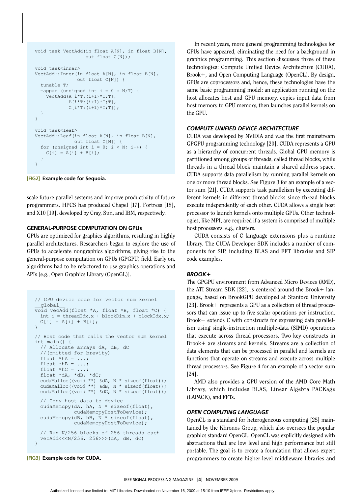```
void task VectAdd(in float A[N], in float B[N],
                  out float C[N]);
void task<inner>
VectAdd::Inner(in float A[N], in float B[N],
              out float C[N]) {
  tunable T;
 mappar (unsigned int i = 0 : N/T) {
    VectAdd(A[i*T:(i+1)*T;T],
           B[i*T:(i+1)*T;T],
            C[i*T:(i+1)*T;T]);
  }
}
void task<leaf>
VectAdd::Leaf(in float A[N], in float B[N],
              out float C[N]) {
  for (unsigned int i = 0; i < N; i++) {
   C[i] = A[i] + B[i];}
}
```

```
[Fig2] Example code for Sequoia.
```
scale future parallel systems and improve productivity of future programmers. HPCS has produced Chapel [17], Fortress [18], and X10 [19], developed by Cray, Sun, and IBM, respectively.

#### **General-Purpose Computation on GPUs**

GPUs are optimized for graphics algorithms, resulting in highly parallel architectures. Researchers began to explore the use of GPUs to accelerate nongraphics algorithms, giving rise to the general-purpose computation on GPUs (GPGPU) field. Early on, algorithms had to be refactored to use graphics operations and APIs [e.g., Open Graphics Library (OpenGL)].

```
// GPU device code for vector sum kernel
 __global__
\overline{void} vec\overline{Add}(float *A, float *B, float *C) {
 int i = \text{threadIdx.x} + \text{blockDim.x} + \text{blockIdx.x};
 C[i] = A[i] + B[i];}
}
// Host code that calls the vector sum kernel
int main() {
  // Allocate arrays dA, dB, dC
  //(omitted for brevity)
 float *hA = \ldots;float *hB = \ldots;float *hC = \ldots;
 float *dA, *dB, *dC;
  cudaMalloc((void **) &dA, N * sizeof(float));
  cudaMalloc((void **) &dB, N * sizeof(float));
 cudaMalloc((void **) &dC, N * sizeof(float));
  // Copy host data to device
 cudaMemcpy(dA, hA, N * sizeof(float),
              cudaMemcpyHostToDevice);
 cudaMemcpy(dB, hB, N * sizeof(float),
              cudaMemcpyHostToDevice);
  // Run N/256 blocks of 256 threads each
  vecAdd<<<N/256, 256>>>(dA, dB, dC)
```
**[Fig3] Example code for CUDA.**

In recent years, more general programming technologies for GPUs have appeared, eliminating the need for a background in graphics programming. This section discusses three of these technologies: Compute Unified Device Architecture (CUDA), Brook+, and Open Computing Language (OpenCL). By design, GPUs are coprocessors and, hence, these technologies have the same basic programming model: an application running on the host allocates host and GPU memory, copies input data from host memory to GPU memory, then launches parallel kernels on the GPU.

#### *Compute Unified Device Architecture*

CUDA was developed by NVIDIA and was the first mainstream GPGPU programming technology [20]. CUDA represents a GPU as a hierarchy of concurrent threads. Global GPU memory is partitioned among groups of threads, called thread blocks, while threads in a thread block maintain a shared address space. CUDA supports data parallelism by running parallel kernels on one or more thread blocks. See Figure 3 for an example of a vector sum [21]. CUDA supports task parallelism by executing different kernels in different thread blocks since thread blocks execute independently of each other. CUDA allows a single host processor to launch kernels onto multiple GPUs. Other technologies, like MPI, are required if a system is comprised of multiple host processors, e.g., clusters.

CUDA consists of C language extensions plus a runtime library. The CUDA Developer SDK includes a number of components for SIP, including BLAS and FFT libraries and SIP code examples.

#### **BROOK+**

The GPGPU environment from Advanced Micro Devices (AMD), the ATI Stream SDK  $[22]$ , is centered around the Brook+ language, based on BrookGPU developed at Stanford University [23]. Brook + represents a GPU as a collection of thread processors that can issue up to five scalar operations per instruction.  $Brook+$  extends  $C$  with constructs for expressing data parallelism using single-instruction multiple-data (SIMD) operations that execute across thread processors. Two key constructs in  $Brook+$  are streams and kernels. Streams are a collection of data elements that can be processed in parallel and kernels are functions that operate on streams and execute across multiple thread processors. See Figure 4 for an example of a vector sum [24].

AMD also provides a GPU version of the AMD Core Math Library, which includes BLAS, Linear Algebra PACKage (LAPACK), and FFTs.

#### *Open Computing Language*

OpenCL is a standard for heterogeneous computing [25] maintained by the Khronos Group, which also oversees the popular graphics standard OpenGL. OpenCL was explicitly designed with abstractions that are low level and high performance but still portable. The goal is to create a foundation that allows expert programmers to create higher-level middleware libraries and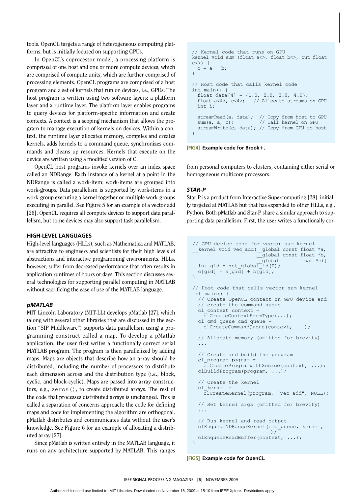tools. OpenCL targets a range of heterogeneous computing platforms, but is initially focused on supporting GPUs.

In OpenCL's coprocessor model, a processing platform is comprised of one host and one or more compute devices, which are comprised of compute units, which are further comprised of processing elements. OpenCL programs are comprised of a host program and a set of kernels that run on devices, i.e., GPUs. The host program is written using two software layers: a platform layer and a runtime layer. The platform layer enables programs to query devices for platform-specific information and create contexts. A context is a scoping mechanism that allows the program to manage execution of kernels on devices. Within a context, the runtime layer allocates memory, compiles and creates kernels, adds kernels to a command queue, synchronizes commands and cleans up resources. Kernels that execute on the device are written using a modified version of C.

OpenCL host programs invoke kernels over an index space called an NDRange. Each instance of a kernel at a point in the NDRange is called a work-item; work-items are grouped into work-groups. Data parallelism is supported by work-items in a work-group executing a kernel together or multiple work-groups executing in parallel. See Figure 5 for an example of a vector add [26]. OpenCL requires all compute devices to support data parallelism, but some devices may also support task parallelism.

#### **High-Level Languages**

High-level languages (HLLs), such as Mathematica and MATLAB, are attractive to engineers and scientists for their high levels of abstractions and interactive programming environments. HLLs, however, suffer from decreased performance that often results in application runtimes of hours or days. This section discusses several technologies for supporting parallel computing in MATLAB without sacrificing the ease of use of the MATLAB language.

#### *pMatlab*

MIT Lincoln Laboratory (MIT-LL) develops pMatlab [27], which (along with several other libraries that are discussed in the section "SIP Middleware") supports data parallelism using a programming construct called a map. To develop a pMatlab application, the user first writes a functionally correct serial MATLAB program. The program is then parallelized by adding maps. Maps are objects that describe how an array should be distributed, including the number of processors to distribute each dimension across and the distribution type (i.e., block, cyclic, and block-cyclic). Maps are passed into array constructors, e.g., zeros(), to create distributed arrays. The rest of the code that processes distributed arrays is unchanged. This is called a separation of concerns approach; the code for defining maps and code for implementing the algorithm are orthogonal. pMatlab distributes and communicates data without the user's knowledge. See Figure 6 for an example of allocating a distributed array [27].

Since pMatlab is written entirely in the MATLAB language, it runs on any architecture supported by MATLAB. This ranges

```
// Kernel code that runs on GPU
kernel void sum (float a<>, float b<>, out float
c \ll 1 {
 c = a + b;}
// Host code that calls kernel code
int main() {
  float data[4] = \{1.0, 2.0, 3.0, 4.0\};float a<4>, c<4>; // Allocate streams on GPU
 int i;
 streamRead(a, data); // Copy from host to GPU<br>sum(a, a, c); // Call kernel on GPU
                         // Call kernel on GPU
 streamWrite(c, data); // Copy from GPU to host
}
```
#### **[FIG4] Example code for Brook+.**

from personal computers to clusters, containing either serial or homogeneous multicore processors.

#### *Star-P*

Star-P is a product from Interactive Supercomputing [28], initially targeted at MATLAB but that has expanded to other HLLs, e.g., Python. Both pMatlab and Star-P share a similar approach to supporting data parallelism. First, the user writes a functionally cor-

```
// GPU device code for vector sum kernel
 kernel void vec add( global const float *a,
                     __global const float *b,<br>qlobal float *c){
                                    float.*c) {
 int gid = get global id(0);
 c[qid] = a[qid] + b[qid];}
// Host code that calls vector sum kernel
int main() {
 // Create OpenCL context on GPU device and 
 // create the command queue
 cl context context =
   clCreateContextFromType(...);
 cl cmd queue cmd_queue
   clCreateCommandQueue(context, ...);
 // Allocate memory (omitted for brevity)
 ...
 // Create and build the program
 cl program pogram =
   clCreateProgramWithSource(context, ...);
 clBuildProgram(program, ...);
 // Create the kernel
 cl kernel =
   clCreateKernel(program, "vec_add", NULL);
 // Set kernel args (omitted for brevity)
  ...
 // Run kernel and read output
 clEnqueueNDRangeKernel(cmd_queue, kernel, 
                       ...);
 clEnqueueReadBuffer(context, ...);
}
```
**[Fig5] Example code for OpenCL.**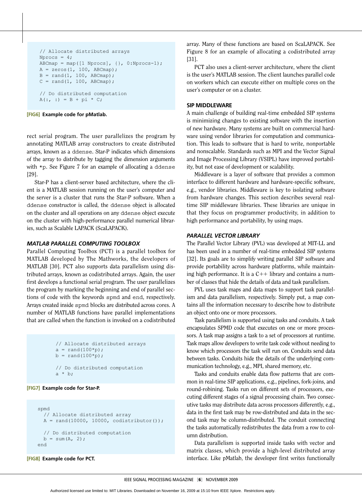```
// Allocate distributed arrays
Nprocs = 4;ABCmap = map([1 \ Nprocess], \{\}, 0:Nprocess-1);A = zeros(1, 100, ABCmap);B = rand(1, 100, ABCmap);C = rand(1, 100, ABCmap);// Do distributed computation
A(:, :)= B + pi * C;
```
**[Fig6] Example code for pMatlab.** 

rect serial program. The user parallelizes the program by annotating MATLAB array constructors to create distributed arrays, known as a ddense. Star-P indicates which dimensions of the array to distribute by tagging the dimension arguments with \*p. See Figure 7 for an example of allocating a ddense [29].

Star-P has a client-server based architecture, where the client is a MATLAB session running on the user's computer and the server is a cluster that runs the Star-P software. When a ddense constructor is called, the ddense object is allocated on the cluster and all operations on any ddense object execute on the cluster with high-performance parallel numerical libraries, such as Scalable LAPACK (ScaLAPACK).

#### *MATLAB Parallel Computing Toolbox*

Parallel Computing Toolbox (PCT) is a parallel toolbox for MATLAB developed by The Mathworks, the developers of MATLAB [30]. PCT also supports data parallelism using distributed arrays, known as codistributed arrays. Again, the user first develops a functional serial program. The user parallelizes the program by marking the beginning and end of parallel sections of code with the keywords spmd and end, respectively. Arrays created inside spmd blocks are distributed across cores. A number of MATLAB functions have parallel implementations that are called when the function is invoked on a codistributed

```
// Allocate distributed arrays
a = \text{rand}(100*p);b = \text{rand}(100*p);// Do distributed computation
a * b;
```
**[Fig7] Example code for Star-P.** 

```
spmd
  // Allocate distributed array
 A = rand(10000, 10000, codistribution());
  // Do distributed computation
 b = sum(A, 2);end
```
**[Fig8] Example code for PCT.**

array. Many of these functions are based on ScaLAPACK. See Figure 8 for an example of allocating a codistributed array [31].

PCT also uses a client-server architecture, where the client is the user's MATLAB session. The client launches parallel code on workers which can execute either on multiple cores on the user's computer or on a cluster.

#### **SIP Middleware**

A main challenge of building real-time embedded SIP systems is minimizing changes to existing software with the insertion of new hardware. Many systems are built on commercial hardware using vendor libraries for computation and communication. This leads to software that is hard to write, nonportable and nonscalable. Standards such as MPI and the Vector Signal and Image Processing Library (VSIPL) have improved portability, but not ease of development or scalability.

Middleware is a layer of software that provides a common interface to different hardware and hardware-specific software, e.g., vendor libraries. Middleware is key to isolating software from hardware changes. This section describes several realtime SIP middleware libraries. These libraries are unique in that they focus on programmer productivity, in addition to high performance and portability, by using maps.

#### *Parallel Vector Library*

The Parallel Vector Library (PVL) was developed at MIT-LL and has been used in a number of real-time embedded SIP systems [32]. Its goals are to simplify writing parallel SIP software and provide portability across hardware platforms, while maintaining high performance. It is a  $C++$  library and contains a number of classes that hide the details of data and task parallelism.

PVL uses task maps and data maps to support task parallelism and data parallelism, respectively. Simply put, a map contains all the information necessary to describe how to distribute an object onto one or more processors.

Task parallelism is supported using tasks and conduits. A task encapsulates SPMD code that executes on one or more processors. A task map assigns a task to a set of processors at runtime. Task maps allow developers to write task code without needing to know which processors the task will run on. Conduits send data between tasks. Conduits hide the details of the underlying communication technology, e.g., MPI, shared memory, etc.

Tasks and conduits enable data flow patterns that are common in real-time SIP applications, e.g., pipelines, fork-joins, and round-robining. Tasks run on different sets of processors, executing different stages of a signal processing chain. Two consecutive tasks may distribute data across processors differently, e.g., data in the first task may be row-distributed and data in the second task may be column-distributed. The conduit connecting the tasks automatically redistributes the data from a row to column distribution.

Data parallelism is supported inside tasks with vector and matrix classes, which provide a high-level distributed array interface. Like pMatlab, the developer first writes functionally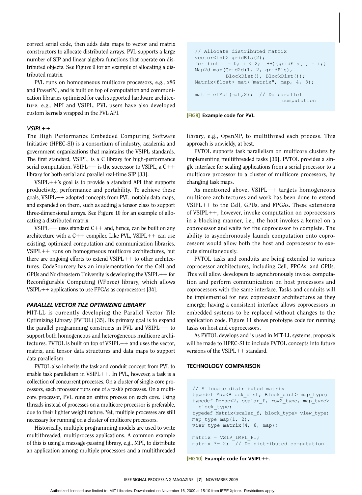correct serial code, then adds data maps to vector and matrix constructors to allocate distributed arrays. PVL supports a large number of SIP and linear algebra functions that operate on distributed objects. See Figure 9 for an example of allocating a distributed matrix.

PVL runs on homogeneous multicore processors, e.g., x86 and PowerPC, and is built on top of computation and communication libraries optimized for each supported hardware architecture, e.g., MPI and VSIPL. PVL users have also developed custom kernels wrapped in the PVL API.

#### *VSIPL*++

The High Performance Embedded Computing Software Initiative (HPEC-SI) is a consortium of industry, academia and government organizations that maintains the VSIPL standards. The first standard, VSIPL, is a C library for high-performance serial computation. VSIPL++ is the successor to VSIPL, a  $C++$ library for both serial and parallel real-time SIP [33].

 $VSIPL++$ 's goal is to provide a standard API that supports productivity, performance and portability. To achieve these goals,  $VSIPL++$  adopted concepts from PVL, notably data maps, and expanded on them, such as adding a tensor class to support three-dimensional arrays. See Figure 10 for an example of allocating a distributed matrix.

VSIPL $++$  uses standard  $C++$  and, hence, can be built on any architecture with a  $C++$  compiler. Like PVL, VSIPL $++$  can use existing, optimized computation and communication libraries.  $VSIPL++$  runs on homogeneous multicore architectures, but there are ongoing efforts to extend  $VSIPL++$  to other architectures. CodeSourcery has an implementation for the Cell and GPUs and Northeastern University is developing the VSIPL $++$  for Reconfigurable Computing (VForce) library, which allows  $VSIPL++$  applications to use FPGAs as coprocessors [34].

#### *Parallel Vector Tile Optimizing Library*

MIT-LL is currently developing the Parallel Vector Tile Optimizing Library (PVTOL) [35]. Its primary goal is to expand the parallel programming constructs in PVL and  $VSIPL++$  to support both homogeneous and heterogeneous multicore architectures. PVTOL is built on top of  $VSIPL++$  and uses the vector, matrix, and tensor data structures and data maps to support data parallelism.

PVTOL also inherits the task and conduit concept from PVL to enable task parallelism in VSIPL $++$ . In PVL, however, a task is a collection of concurrent processes. On a cluster of single-core processors, each processor runs one of a task's processes. On a multicore processor, PVL runs an entire process on each core. Using threads instead of processes on a multicore processor is preferable, due to their lighter weight nature. Yet, multiple processes are still necessary for running on a cluster of multicore processors.

Historically, multiple programming models are used to write multithreaded, multiprocess applications. A common example of this is using a message-passing library, e.g., MPI, to distribute an application among multiple processors and a multithreaded

```
// Allocate distributed matrix
vector<int> gridEls(2);
for (int i = 0; i < 2; i++){gridEls[i] = i;}
Map2d map(Grid2d(1, 2, gridEls),
          BlockDist(), BlockDist());
Matrix<float> mat("matrix", map, 4, 8);
mat = ellMul(mat, 2); // Do parallel
                              computation
```
**[Fig9] Example code for PVL.**

library, e.g., OpenMP, to multithread each process. This approach is unwieldy, at best.

PVTOL supports task parallelism on multicore clusters by implementing multithreaded tasks [36]. PVTOL provides a single interface for scaling applications from a serial processor to a multicore processor to a cluster of multicore processors, by changing task maps.

As mentioned above,  $VSIPL++$  targets homogeneous multicore architectures and work has been done to extend  $VSIPL++$  to the Cell, GPUs, and FPGAs. These extensions of  $VSIPL++$ , however, invoke computation on coprocessors in a blocking manner, i.e., the host invokes a kernel on a coprocessor and waits for the coprocessor to complete. The ability to asynchronously launch computation onto coprocessors would allow both the host and coprocessor to execute simultaneously.

PVTOL tasks and conduits are being extended to various coprocessor architectures, including Cell, FPGAs, and GPUs. This will allow developers to asynchronously invoke computation and perform communication on host processors and coprocessors with the same interface. Tasks and conduits will be implemented for new coprocessor architectures as they emerge; having a consistent interface allows coprocessors in embedded systems to be replaced without changes to the application code. Figure 11 shows prototype code for running tasks on host and coprocessors.

As PVTOL develops and is used in MIT-LL systems, proposals will be made to HPEC-SI to include PVTOL concepts into future versions of the  $VSIPL++$  standard.

#### **Technology Comparison**

```
// Allocate distributed matrix
typedef Map<Block dist, Block dist> map type;
typedef Dense<2, scalar f, row2 type, map type>
 block_type;
typedef Matrix<scalar f, block type> view type;
map type map(1, 2);
view type matrix(4, 8, map);
matrix = VSIDIMPL PI;matrix * = 2; // Do distributed computation
```
**[FIG10] Example code for VSIPL++.**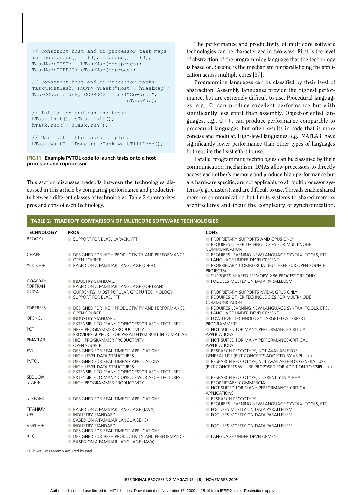```
// Construct host and co-processor task maps
int hostprocs[] = \{0\}, coprocs[] = \{0\};
TaskMap<HOST> hTaskMap(hostprocs);
TaskMap<COPROC> cTaskMap(coprocs);
// Construct host and co-processor tasks
Task<HostTask, HOST> hTask("Host", hTaskMap);
Task<CoprocTask, COPROC> cTask("Co-proc", 
                               cTaskMap);
// Initialize and run the tasks
hTask.init(); cTask.init();
hTask.run(); cTask.run();
// Wait until the tasks complete
hTask.waitTillDone(); cTask.waitTillDone();
```
#### **[Fig11] Example PVTOL code to launch tasks onto a host processor and coprocessor.**

This section discusses tradeoffs between the technologies discussed in this article by comparing performance and productivity between different classes of technologies. Table 2 summarizes pros and cons of each technology.

The performance and productivity of multicore software technologies can be characterized in two ways. First is the level of abstraction of the programming language that the technology is based on. Second is the mechanism for parallelizing the application across multiple cores [37].

Programming languages can be classified by their level of abstraction. Assembly languages provide the highest performance, but are extremely difficult to use. Procedural languages, e.g., C, can produce excellent performance but with significantly less effort than assembly. Object-oriented languages, e.g.,  $C++$ , can produce performance comparable to procedural languages, but often results in code that is more concise and modular. High-level languages, e.g., MATLAB, have significantly lower performance than other types of languages but require the least effort to use.

Parallel programming technologies can be classified by their communication mechanism. DMAs allow processors to directly access each other's memory and produce high performance but are hardware specific, are not applicable to all multiprocessor systems (e.g., clusters), and are difficult to use. Threads enable shared memory communication but limits systems to shared memory architectures and incur the complexity of synchronization.

| [TABLE 2] TRADEOFF COMPARISON OF MULTICORE SOFTWARE TECHNOLOGIES. |                                                                                                                              |                                                                                                               |  |  |  |  |
|-------------------------------------------------------------------|------------------------------------------------------------------------------------------------------------------------------|---------------------------------------------------------------------------------------------------------------|--|--|--|--|
| <b>TECHNOLOGY</b>                                                 | <b>PROS</b>                                                                                                                  | <b>CONS</b>                                                                                                   |  |  |  |  |
| BROOK+                                                            | SUPPORT FOR BLAS, LAPACK, FFT                                                                                                | PROPRIETARY, SUPPORTS AMD GPUS ONLY<br>REQUIRES OTHER TECHNOLOGIES FOR MULTI-NODE<br>COMMUNICATION            |  |  |  |  |
| CHAPEL                                                            | DESIGNED FOR HIGH PRODUCTIVITY AND PERFORMANCE<br>OPEN SOURCE                                                                | REQUIRES LEARNING NEW LANGUAGE SYNTAX, TOOLS, ETC.<br>LANGUAGE UNDER DEVELOPMENT                              |  |  |  |  |
| $*$ CILK + +                                                      | <b>BASED ON A FAMILIAR LANGUAGE (C++)</b>                                                                                    | PROPRIETARY, COMMERCIAL (BUT FREE FOR OPEN SOURCE<br>PROJECTS)<br>SUPPORTS SHARED MEMORY, X86 PROCESSORS ONLY |  |  |  |  |
| COARRAY                                                           | INDUSTRY STANDARD                                                                                                            | FOCUSES MOSTLY ON DATA PARALLELISM                                                                            |  |  |  |  |
| <b>FORTRAN</b>                                                    | <b>BASED ON A FAMILIAR LANGUAGE (FORTRAN)</b>                                                                                |                                                                                                               |  |  |  |  |
| <b>CUDA</b>                                                       | CURRENTLY, MOST POPULAR GPGPU TECHNOLOGY<br>SUPPORT FOR BLAS, FFT                                                            | PROPRIETARY, SUPPORTS NVIDIA GPUS ONLY<br>REQUIRES OTHER TECHNOLOGIES FOR MULTI-NODE<br>COMMUNICATION         |  |  |  |  |
| <b>FORTRESS</b>                                                   | DESIGNED FOR HIGH PRODUCTIVITY AND PERFORMANCE<br>OPEN SOURCE                                                                | REQUIRES LEARNING NEW LANGUAGE SYNTAX, TOOLS, ETC.<br>LANGUAGE UNDER DEVELOPMENT                              |  |  |  |  |
| OPENCL                                                            | INDUSTRY STANDARD<br>EXTENSIBLE TO MANY COPROCESSOR ARCHITECTURES                                                            | LOW-LEVEL TECHNOLOGY TARGETED AT EXPERT<br>PROGRAMMERS                                                        |  |  |  |  |
| <b>PCT</b>                                                        | HIGH PROGRAMMER PRODUCTIVITY<br><b>PROVIDES SUPPORT FOR PARALLELISM BUILT INTO MATLAB</b>                                    | NOT SUITED FOR MANY PERFORMANCE-CRITICAL<br><b>APPLICATIONS</b>                                               |  |  |  |  |
| PMATLAB                                                           | HIGH PROGRAMMER PRODUCTIVITY<br>OPEN SOURCE                                                                                  | NOT SUITED FOR MANY PERFORMANCE-CRITICAL<br><b>APPLICATIONS</b>                                               |  |  |  |  |
| PVL                                                               | DESIGNED FOR REAL-TIME SIP APPLICATIONS<br>HIGH LEVEL DATA STRUCTURES                                                        | RESEARCH PROTOTYPE, NOT AVAILABLE FOR<br>GENERAL USE (BUT CONCEPTS ADOPTED BY VSIPL++)                        |  |  |  |  |
| <b>PVTOL</b>                                                      | DESIGNED FOR REAL-TIME SIP APPLICATIONS<br><b>HIGH LEVEL DATA STRUCTURES</b><br>EXTENSIBLE TO MANY COPROCESSOR ARCHITECTURES | RESEARCH PROTOTYPE, NOT AVAILABLE FOR GENERAL USE<br>(BUT CONCEPTS WILL BE PROPOSED FOR ADDITION TO VSIPL++)  |  |  |  |  |
| SEQUOIA                                                           | EXTENSIBLE TO MANY COPROCESSOR ARCHITECTURES                                                                                 | RESEARCH PROTOTYPE, CURRENTLY IN ALPHA                                                                        |  |  |  |  |
| STAR-P                                                            | HIGH PROGRAMMER PRODUCTIVITY                                                                                                 | PROPRIETARY, COMMERCIAL<br>NOT SUITED FOR MANY PERFORMANCE-CRITICAL<br><b>APPLICATIONS</b>                    |  |  |  |  |
| STREAMIT                                                          | DESIGNED FOR REAL-TIME SIP APPLICATIONS                                                                                      | RESEARCH PROTOTYPE<br>REQUIRES LEARNING NEW LANGUAGE SYNTAX, TOOLS, ETC.                                      |  |  |  |  |
| <b>TITANIUM</b>                                                   | <b>BASED ON A FAMILIAR LANGUAGE (JAVA)</b>                                                                                   | FOCUSES MOSTLY ON DATA PARALLELISM                                                                            |  |  |  |  |
| <b>UPC</b>                                                        | INDUSTRY STANDARD<br>$\blacksquare$ BASED ON A FAMILIAR LANGUAGE (C)                                                         | FOCUSES MOSTLY ON DATA PARALLELISM                                                                            |  |  |  |  |
| $VSIPL++$                                                         | INDUSTRY STANDARD<br>DESIGNED FOR REAL-TIME SIP APPLICATIONS                                                                 | FOCUSES MOSTLY ON DATA PARALLELISM                                                                            |  |  |  |  |
| X10                                                               | DESIGNED FOR HIGH PRODUCTIVITY AND PERFORMANCE<br><b>BASED ON A FAMILIAR LANGUAGE (JAVA)</b>                                 | LANGUAGE UNDER DEVELOPMENT                                                                                    |  |  |  |  |

\*Cilk Arts was recently acquired by Intel.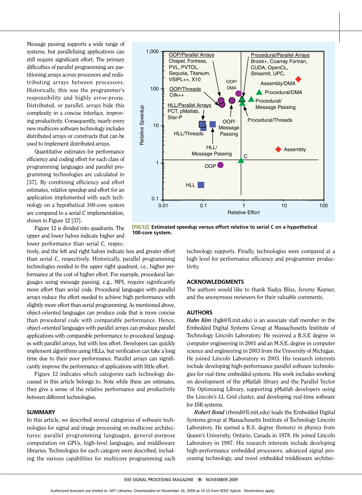Message passing supports a wide range of systems, but parallelizing applications can still require significant effort. The primary difficulties of parallel programming are partitioning arrays across processors and redistributing arrays between processors. Historically, this was the programmer's responsibility and highly error-prone. Distributed, or parallel, arrays hide this complexity in a concise interface, improving productivity. Consequently, nearly every new multicore software technology includes distributed arrays or constructs that can be used to implement distributed arrays.

Quantitative estimates for performance efficiency and coding effort for each class of programming languages and parallel programming technologies are calculated in [37]. By combining efficiency and effort estimates, relative speedup and effort for an application implemented with each technology on a hypothetical 100-core system are compared to a serial C implementation, shown in Figure 12 [37].

Figure 12 is divided into quadrants. The upper and lower halves indicate higher and lower performance than serial C, respec-

tively, and the left and right halves indicate less and greater effort than serial C, respectively. Historically, parallel programming technologies resided in the upper right quadrant, i.e., higher performance at the cost of higher effort. For example, procedural languages using message passing, e.g., MPI, require significantly more effort than serial code. Procedural languages with parallel arrays reduce the effort needed to achieve high performance with slightly more effort than serial programming. As mentioned above, object-oriented languages can produce code that is more concise than procedural code with comparable performance. Hence, object-oriented languages with parallel arrays can produce parallel applications with comparable performance to procedural languages with parallel arrays, but with less effort. Developers can quickly implement algorithms using HLLs, but verification can take a long time due to their poor performance. Parallel arrays can significantly improve the performance of applications with little effort.

Figure 12 indicates which categories each technology discussed in this article belongs to. Note while these are estimates, they give a sense of the relative performance and productivity between different technologies.

#### **Summary**

In this article, we described several categories of software technologies for signal and image processing on multicore architectures: parallel programming languages, general-purpose computation on GPUs, high-level languages, and middleware libraries. Technologies for each category were described, including the various capabilities for multicore programming each



**[Fig12] Estimated speedup versus effort relative to serial C on a hypothetical 100-core system.**

technology supports. Finally, technologies were compared at a high level for performance efficiency and programmer productivity.

#### **Acknowledgments**

The authors would like to thank Nadya Bliss, Jeremy Kepner, and the anonymous reviewers for their valuable comments.

#### **authors**

*Hahn Kim* (hgk@ll.mit.edu) is an associate staff member in the Embedded Digital Systems Group at Massachusetts Institute of Technology Lincoln Laboratory. He received a B.S.E degree in computer engineering in 2001 and an M.S.E. degree in computer science and engineering in 2003 from the University of Michigan. He joined Lincoln Laboratory in 2003. His research interests include developing high-performance parallel software technologies for real-time embedded systems. His work includes working on development of the pMatlab library and the Parallel Vector Tile Optimizing Library, supporting pMatlab developers using the Lincoln's LL Grid cluster, and developing real-time software for ISR systems.

*Robert Bond* (rbond@ll.mit.edu) leads the Embedded Digital Systems group at Massachusetts Institute of Technology Lincoln Laboratory. He earned a B.S. degree (honors) in physics from Queen's University, Ontario, Canada in 1978. He joined Lincoln Laboratory in 1987. His research interests include developing high-performance embedded processors, advanced signal processing technology, and novel embedded middleware architec